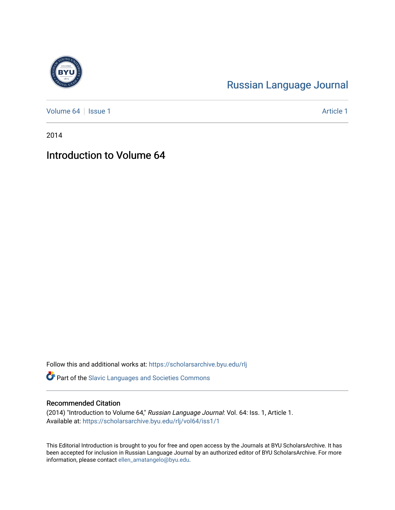## [Russian Language Journal](https://scholarsarchive.byu.edu/rlj)

[Volume 64](https://scholarsarchive.byu.edu/rlj/vol64) | [Issue 1](https://scholarsarchive.byu.edu/rlj/vol64/iss1) Article 1

2014

## Introduction to Volume 64

Follow this and additional works at: [https://scholarsarchive.byu.edu/rlj](https://scholarsarchive.byu.edu/rlj?utm_source=scholarsarchive.byu.edu%2Frlj%2Fvol64%2Fiss1%2F1&utm_medium=PDF&utm_campaign=PDFCoverPages)

Part of the [Slavic Languages and Societies Commons](http://network.bepress.com/hgg/discipline/486?utm_source=scholarsarchive.byu.edu%2Frlj%2Fvol64%2Fiss1%2F1&utm_medium=PDF&utm_campaign=PDFCoverPages) 

## Recommended Citation

(2014) "Introduction to Volume 64," Russian Language Journal: Vol. 64: Iss. 1, Article 1. Available at: [https://scholarsarchive.byu.edu/rlj/vol64/iss1/1](https://scholarsarchive.byu.edu/rlj/vol64/iss1/1?utm_source=scholarsarchive.byu.edu%2Frlj%2Fvol64%2Fiss1%2F1&utm_medium=PDF&utm_campaign=PDFCoverPages) 

This Editorial Introduction is brought to you for free and open access by the Journals at BYU ScholarsArchive. It has been accepted for inclusion in Russian Language Journal by an authorized editor of BYU ScholarsArchive. For more information, please contact [ellen\\_amatangelo@byu.edu.](mailto:ellen_amatangelo@byu.edu)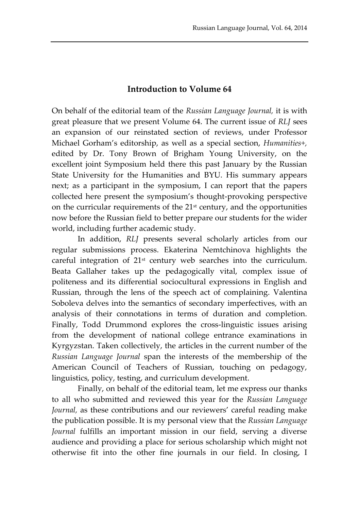## **Introduction to Volume 64**

On behalf of the editorial team of the *Russian Language Journal,* it is with great pleasure that we present Volume 64. The current issue of *RLJ* sees an expansion of our reinstated section of reviews, under Professor Michael Gorham's editorship, as well as a special section, *Humanities+,* edited by Dr. Tony Brown of Brigham Young University, on the excellent joint Symposium held there this past January by the Russian State University for the Humanities and BYU. His summary appears next; as a participant in the symposium, I can report that the papers collected here present the symposium's thought-provoking perspective on the curricular requirements of the 21st century, and the opportunities now before the Russian field to better prepare our students for the wider world, including further academic study.

In addition, *RLJ* presents several scholarly articles from our regular submissions process. Ekaterina Nemtchinova highlights the careful integration of 21st century web searches into the curriculum. Beata Gallaher takes up the pedagogically vital, complex issue of politeness and its differential sociocultural expressions in English and Russian, through the lens of the speech act of complaining. Valentina Soboleva delves into the semantics of secondary imperfectives, with an analysis of their connotations in terms of duration and completion. Finally, Todd Drummond explores the cross-linguistic issues arising from the development of national college entrance examinations in Kyrgyzstan. Taken collectively, the articles in the current number of the *Russian Language Journal* span the interests of the membership of the American Council of Teachers of Russian, touching on pedagogy, linguistics, policy, testing, and curriculum development.

Finally, on behalf of the editorial team, let me express our thanks to all who submitted and reviewed this year for the *Russian Language Journal,* as these contributions and our reviewers' careful reading make the publication possible. It is my personal view that the *Russian Language Journal* fulfills an important mission in our field, serving a diverse audience and providing a place for serious scholarship which might not otherwise fit into the other fine journals in our field. In closing, I